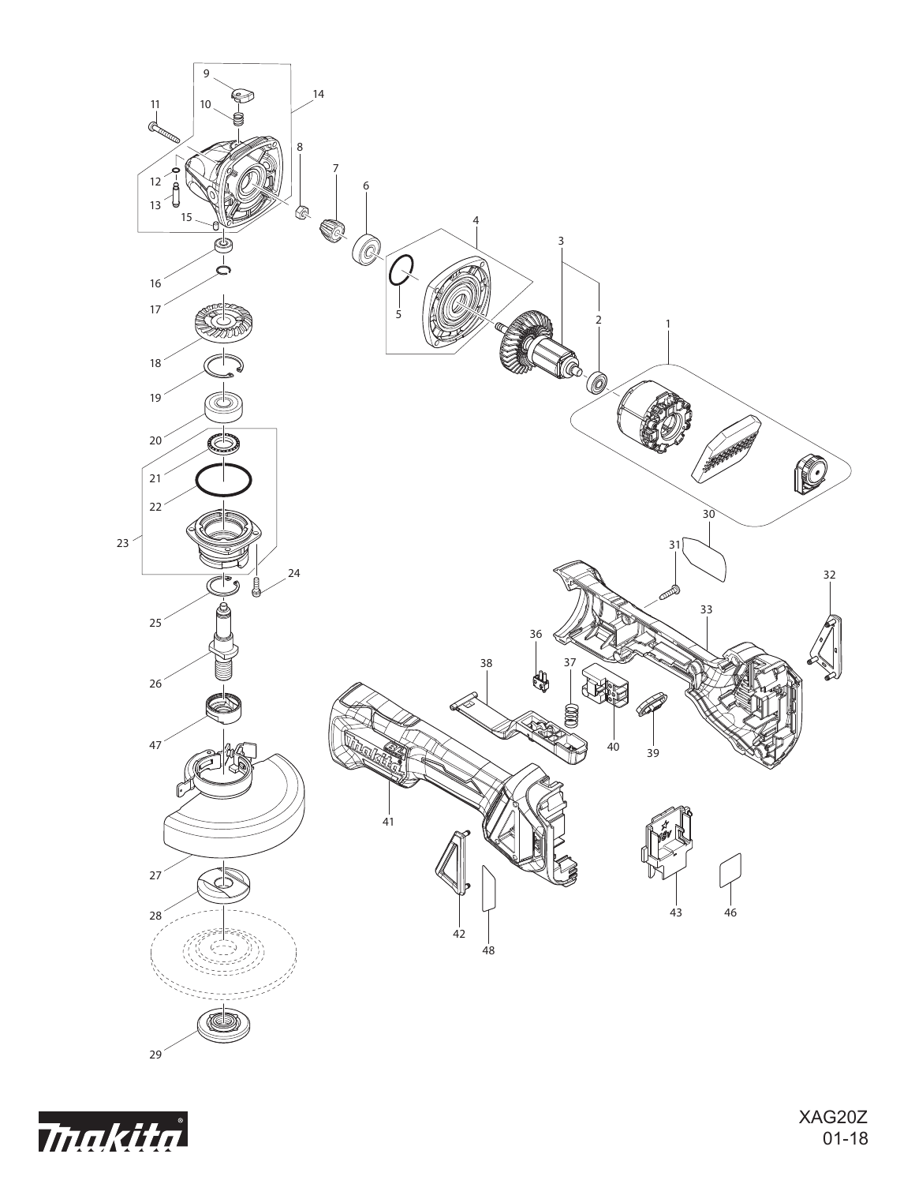

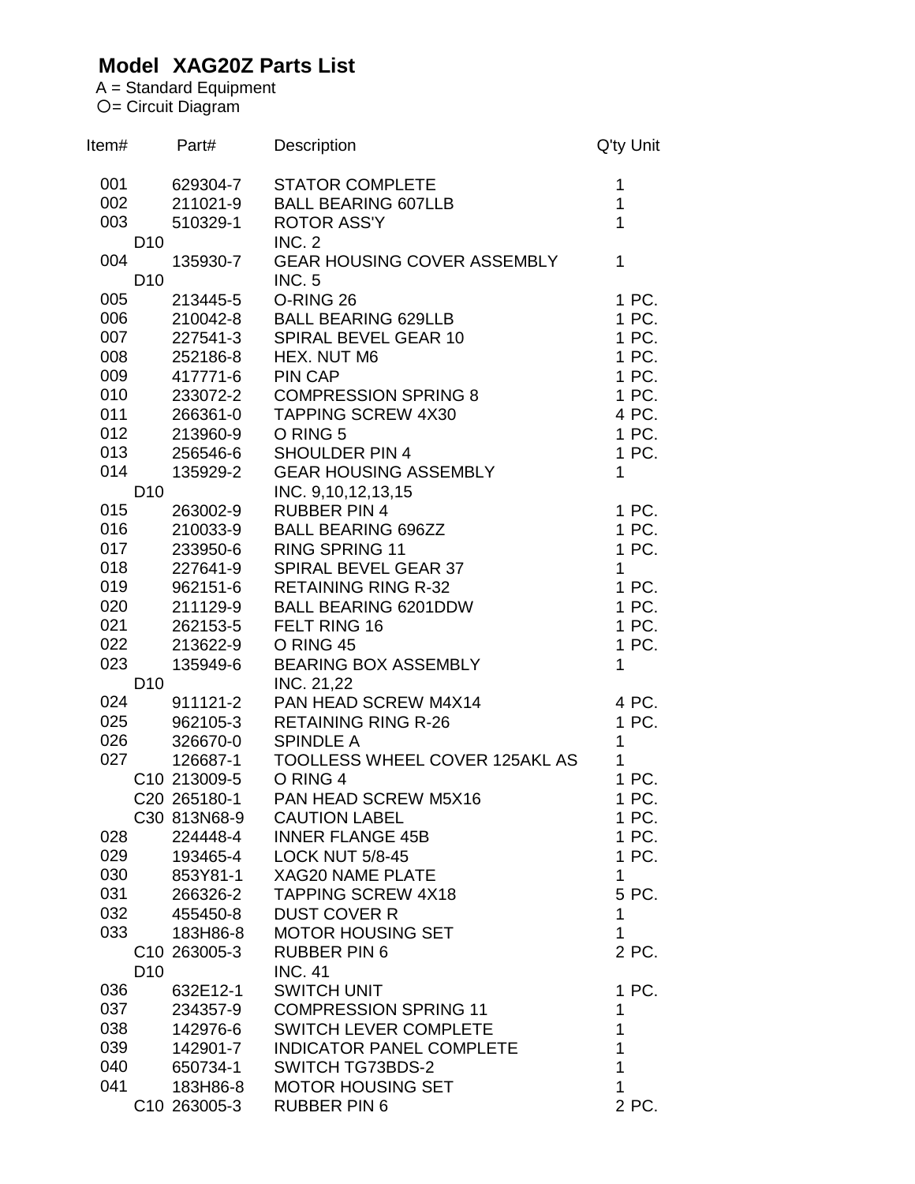## **Model XAG20Z Parts List**

A = Standard Equipment = Circuit Diagram

| ltem# |                 | Part#                    | Description                        | Q'ty Unit      |
|-------|-----------------|--------------------------|------------------------------------|----------------|
| 001   |                 | 629304-7                 | <b>STATOR COMPLETE</b>             | 1              |
| 002   |                 | 211021-9                 | <b>BALL BEARING 607LLB</b>         | $\overline{1}$ |
| 003   |                 | 510329-1                 | <b>ROTOR ASS'Y</b>                 | $\mathbf{1}$   |
|       | D <sub>10</sub> |                          | <b>INC. 2</b>                      |                |
| 004   |                 | 135930-7                 | <b>GEAR HOUSING COVER ASSEMBLY</b> | $\overline{1}$ |
|       | D <sub>10</sub> |                          | <b>INC. 5</b>                      |                |
| 005   |                 | 213445-5                 | O-RING 26                          | 1 PC.          |
| 006   |                 | 210042-8                 | <b>BALL BEARING 629LLB</b>         | 1 PC.          |
| 007   |                 | 227541-3                 | SPIRAL BEVEL GEAR 10               | 1 PC.          |
| 008   |                 | 252186-8                 | HEX. NUT M6                        | 1 PC.          |
|       |                 |                          |                                    |                |
| 009   |                 | 417771-6                 | <b>PIN CAP</b>                     | 1 PC.          |
| 010   |                 | 233072-2                 | <b>COMPRESSION SPRING 8</b>        | 1 PC.          |
| 011   |                 | 266361-0                 | <b>TAPPING SCREW 4X30</b>          | 4 PC.          |
| 012   |                 | 213960-9                 | O RING 5                           | 1 PC.          |
| 013   |                 | 256546-6                 | <b>SHOULDER PIN 4</b>              | 1 PC.          |
| 014   |                 | 135929-2                 | <b>GEAR HOUSING ASSEMBLY</b>       | $\mathbf{1}$   |
|       | D <sub>10</sub> |                          | INC. 9,10,12,13,15                 |                |
| 015   |                 | 263002-9                 | <b>RUBBER PIN 4</b>                | 1 PC.          |
| 016   |                 | 210033-9                 | <b>BALL BEARING 696ZZ</b>          | 1 PC.          |
| 017   |                 | 233950-6                 | <b>RING SPRING 11</b>              | 1 PC.          |
| 018   |                 | 227641-9                 | SPIRAL BEVEL GEAR 37               | $\mathbf{1}$   |
| 019   |                 | 962151-6                 | <b>RETAINING RING R-32</b>         | 1 PC.          |
| 020   |                 | 211129-9                 | <b>BALL BEARING 6201DDW</b>        | 1 PC.          |
| 021   |                 | 262153-5                 | FELT RING 16                       | 1 PC.          |
| 022   |                 | 213622-9                 | O RING 45                          | 1 PC.          |
| 023   |                 | 135949-6                 | <b>BEARING BOX ASSEMBLY</b>        | 1              |
|       | D <sub>10</sub> |                          | INC. 21,22                         |                |
| 024   |                 | 911121-2                 | PAN HEAD SCREW M4X14               | 4 PC.          |
|       |                 |                          |                                    |                |
| 025   |                 | 962105-3                 | <b>RETAINING RING R-26</b>         | 1 PC.          |
| 026   |                 | 326670-0                 | <b>SPINDLE A</b>                   | $\mathbf{1}$   |
| 027   |                 | 126687-1                 | TOOLLESS WHEEL COVER 125AKL AS     | $\mathbf{1}$   |
|       |                 | C10 213009-5             | O RING 4                           | 1 PC.          |
|       |                 | C20 265180-1             | PAN HEAD SCREW M5X16               | 1 PC.          |
|       |                 | C30 813N68-9             | <b>CAUTION LABEL</b>               | 1 PC.          |
| 028   |                 | 224448-4                 | <b>INNER FLANGE 45B</b>            | 1 PC.          |
| 029   |                 | 193465-4                 | <b>LOCK NUT 5/8-45</b>             | 1 PC.          |
| 030   |                 | 853Y81-1                 | <b>XAG20 NAME PLATE</b>            | 1              |
| 031   |                 | 266326-2                 | TAPPING SCREW 4X18                 | 5 PC.          |
| 032   |                 | 455450-8                 | <b>DUST COVER R</b>                | 1              |
| 033   |                 | 183H86-8                 | <b>MOTOR HOUSING SET</b>           | 1              |
|       |                 | C <sub>10</sub> 263005-3 | <b>RUBBER PIN 6</b>                | 2 PC.          |
|       | D <sub>10</sub> |                          | <b>INC. 41</b>                     |                |
| 036   |                 | 632E12-1                 | <b>SWITCH UNIT</b>                 | 1 PC.          |
| 037   |                 | 234357-9                 | <b>COMPRESSION SPRING 11</b>       | 1              |
| 038   |                 | 142976-6                 | <b>SWITCH LEVER COMPLETE</b>       | 1              |
| 039   |                 | 142901-7                 | <b>INDICATOR PANEL COMPLETE</b>    | 1              |
| 040   |                 |                          |                                    | 1              |
|       |                 | 650734-1                 | SWITCH TG73BDS-2                   |                |
| 041   |                 | 183H86-8                 | <b>MOTOR HOUSING SET</b>           | 1              |
|       |                 | C10 263005-3             | <b>RUBBER PIN 6</b>                | 2 PC.          |